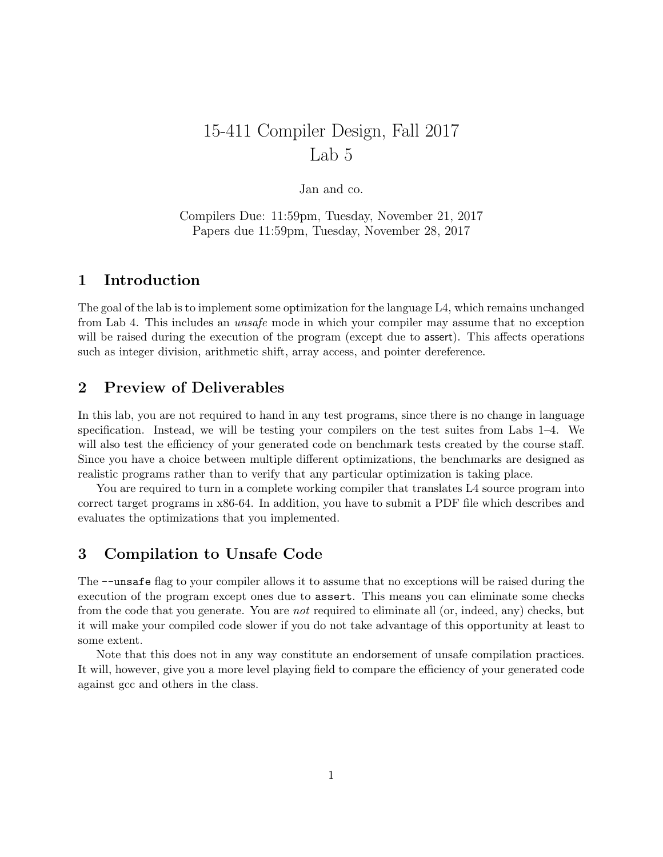# 15-411 Compiler Design, Fall 2017 Lab 5

Jan and co.

Compilers Due: 11:59pm, Tuesday, November 21, 2017 Papers due 11:59pm, Tuesday, November 28, 2017

## 1 Introduction

The goal of the lab is to implement some optimization for the language L4, which remains unchanged from Lab 4. This includes an unsafe mode in which your compiler may assume that no exception will be raised during the execution of the program (except due to assert). This affects operations such as integer division, arithmetic shift, array access, and pointer dereference.

## 2 Preview of Deliverables

In this lab, you are not required to hand in any test programs, since there is no change in language specification. Instead, we will be testing your compilers on the test suites from Labs 1–4. We will also test the efficiency of your generated code on benchmark tests created by the course staff. Since you have a choice between multiple different optimizations, the benchmarks are designed as realistic programs rather than to verify that any particular optimization is taking place.

You are required to turn in a complete working compiler that translates L4 source program into correct target programs in x86-64. In addition, you have to submit a PDF file which describes and evaluates the optimizations that you implemented.

## 3 Compilation to Unsafe Code

The --unsafe flag to your compiler allows it to assume that no exceptions will be raised during the execution of the program except ones due to assert. This means you can eliminate some checks from the code that you generate. You are not required to eliminate all (or, indeed, any) checks, but it will make your compiled code slower if you do not take advantage of this opportunity at least to some extent.

Note that this does not in any way constitute an endorsement of unsafe compilation practices. It will, however, give you a more level playing field to compare the efficiency of your generated code against gcc and others in the class.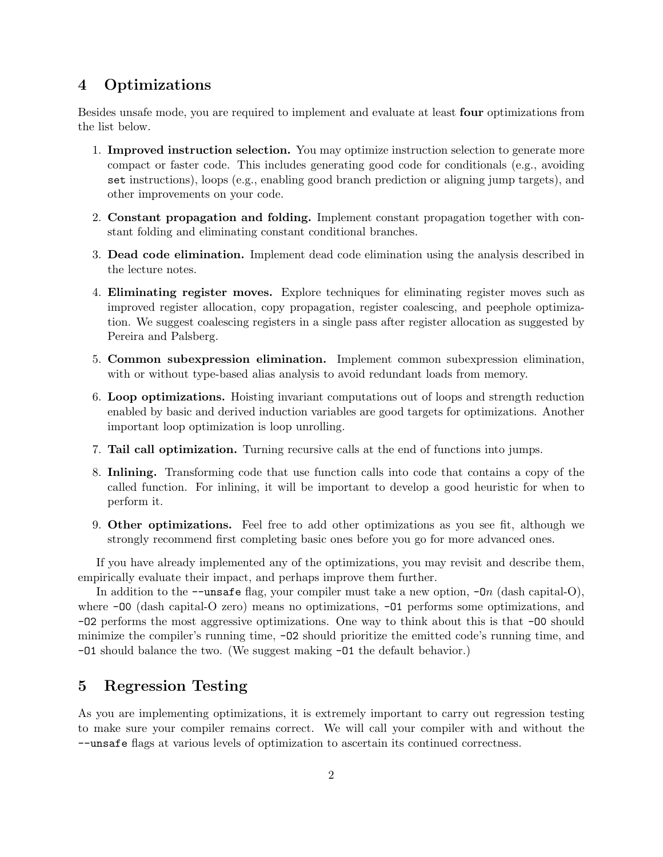# 4 Optimizations

Besides unsafe mode, you are required to implement and evaluate at least four optimizations from the list below.

- 1. Improved instruction selection. You may optimize instruction selection to generate more compact or faster code. This includes generating good code for conditionals (e.g., avoiding set instructions), loops (e.g., enabling good branch prediction or aligning jump targets), and other improvements on your code.
- 2. Constant propagation and folding. Implement constant propagation together with constant folding and eliminating constant conditional branches.
- 3. Dead code elimination. Implement dead code elimination using the analysis described in the lecture notes.
- 4. Eliminating register moves. Explore techniques for eliminating register moves such as improved register allocation, copy propagation, register coalescing, and peephole optimization. We suggest coalescing registers in a single pass after register allocation as suggested by Pereira and Palsberg.
- 5. Common subexpression elimination. Implement common subexpression elimination, with or without type-based alias analysis to avoid redundant loads from memory.
- 6. Loop optimizations. Hoisting invariant computations out of loops and strength reduction enabled by basic and derived induction variables are good targets for optimizations. Another important loop optimization is loop unrolling.
- 7. Tail call optimization. Turning recursive calls at the end of functions into jumps.
- 8. Inlining. Transforming code that use function calls into code that contains a copy of the called function. For inlining, it will be important to develop a good heuristic for when to perform it.
- 9. Other optimizations. Feel free to add other optimizations as you see fit, although we strongly recommend first completing basic ones before you go for more advanced ones.

If you have already implemented any of the optimizations, you may revisit and describe them, empirically evaluate their impact, and perhaps improve them further.

In addition to the  $-\text{unsafe flag}$ , your compiler must take a new option,  $\neg$  (dash capital-O), where  $\neg$ 00 (dash capital-O zero) means no optimizations,  $\neg$ 01 performs some optimizations, and -O2 performs the most aggressive optimizations. One way to think about this is that -O0 should minimize the compiler's running time, -O2 should prioritize the emitted code's running time, and -O1 should balance the two. (We suggest making -O1 the default behavior.)

### 5 Regression Testing

As you are implementing optimizations, it is extremely important to carry out regression testing to make sure your compiler remains correct. We will call your compiler with and without the --unsafe flags at various levels of optimization to ascertain its continued correctness.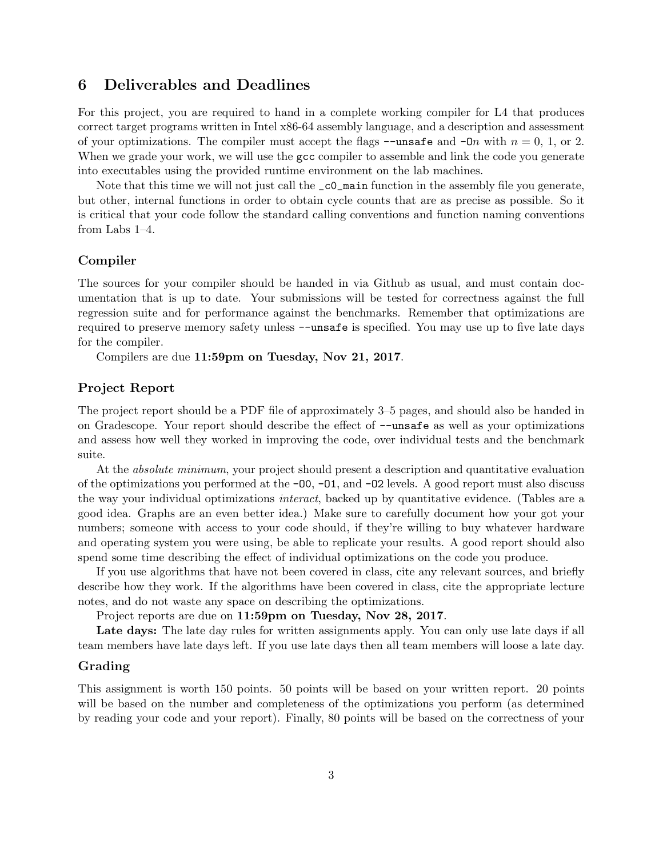#### 6 Deliverables and Deadlines

For this project, you are required to hand in a complete working compiler for L4 that produces correct target programs written in Intel x86-64 assembly language, and a description and assessment of your optimizations. The compiler must accept the flags  $-\text{unsafe}$  and  $-\text{On}$  with  $n = 0, 1, \text{or } 2$ . When we grade your work, we will use the gcc compiler to assemble and link the code you generate into executables using the provided runtime environment on the lab machines.

Note that this time we will not just call the  $\text{\_c0\_main}$  function in the assembly file you generate, but other, internal functions in order to obtain cycle counts that are as precise as possible. So it is critical that your code follow the standard calling conventions and function naming conventions from Labs 1–4.

#### Compiler

The sources for your compiler should be handed in via Github as usual, and must contain documentation that is up to date. Your submissions will be tested for correctness against the full regression suite and for performance against the benchmarks. Remember that optimizations are required to preserve memory safety unless --unsafe is specified. You may use up to five late days for the compiler.

Compilers are due 11:59pm on Tuesday, Nov 21, 2017.

#### Project Report

The project report should be a PDF file of approximately 3–5 pages, and should also be handed in on Gradescope. Your report should describe the effect of --unsafe as well as your optimizations and assess how well they worked in improving the code, over individual tests and the benchmark suite.

At the *absolute minimum*, your project should present a description and quantitative evaluation of the optimizations you performed at the  $-00$ ,  $-01$ , and  $-02$  levels. A good report must also discuss the way your individual optimizations interact, backed up by quantitative evidence. (Tables are a good idea. Graphs are an even better idea.) Make sure to carefully document how your got your numbers; someone with access to your code should, if they're willing to buy whatever hardware and operating system you were using, be able to replicate your results. A good report should also spend some time describing the effect of individual optimizations on the code you produce.

If you use algorithms that have not been covered in class, cite any relevant sources, and briefly describe how they work. If the algorithms have been covered in class, cite the appropriate lecture notes, and do not waste any space on describing the optimizations.

Project reports are due on 11:59pm on Tuesday, Nov 28, 2017.

Late days: The late day rules for written assignments apply. You can only use late days if all team members have late days left. If you use late days then all team members will loose a late day.

#### Grading

This assignment is worth 150 points. 50 points will be based on your written report. 20 points will be based on the number and completeness of the optimizations you perform (as determined by reading your code and your report). Finally, 80 points will be based on the correctness of your